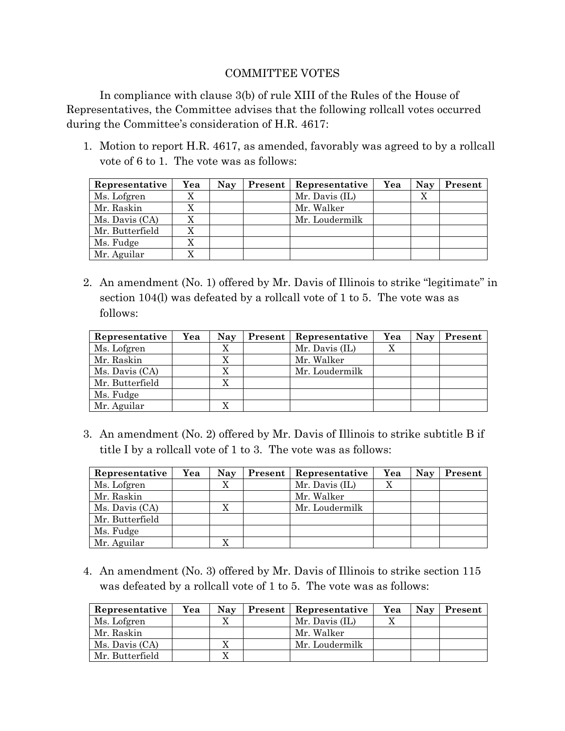## COMMITTEE VOTES

In compliance with clause 3(b) of rule XIII of the Rules of the House of Representatives, the Committee advises that the following rollcall votes occurred during the Committee's consideration of H.R. 4617:

1. Motion to report H.R. 4617, as amended, favorably was agreed to by a rollcall vote of 6 to 1. The vote was as follows:

| Representative  | Yea       | <b>Nay</b> | Present | Representative | Yea | <b>Nay</b> | Present |
|-----------------|-----------|------------|---------|----------------|-----|------------|---------|
| Ms. Lofgren     | $\Lambda$ |            |         | Mr. Davis (IL) |     | X          |         |
| Mr. Raskin      | △         |            |         | Mr. Walker     |     |            |         |
| Ms. Davis (CA)  |           |            |         | Mr. Loudermilk |     |            |         |
| Mr. Butterfield |           |            |         |                |     |            |         |
| Ms. Fudge       | $\Lambda$ |            |         |                |     |            |         |
| Mr. Aguilar     |           |            |         |                |     |            |         |

2. An amendment (No. 1) offered by Mr. Davis of Illinois to strike "legitimate" in section 104(l) was defeated by a rollcall vote of 1 to 5. The vote was as follows:

| Representative  | Yea | <b>Nay</b> | <b>Present</b>   Representative | Yea | Nay | Present |
|-----------------|-----|------------|---------------------------------|-----|-----|---------|
| Ms. Lofgren     |     | X          | Mr. Davis (IL)                  |     |     |         |
| Mr. Raskin      |     |            | Mr. Walker                      |     |     |         |
| Ms. Davis (CA)  |     |            | Mr. Loudermilk                  |     |     |         |
| Mr. Butterfield |     |            |                                 |     |     |         |
| Ms. Fudge       |     |            |                                 |     |     |         |
| Mr. Aguilar     |     |            |                                 |     |     |         |

3. An amendment (No. 2) offered by Mr. Davis of Illinois to strike subtitle B if title I by a rollcall vote of 1 to 3. The vote was as follows:

| Representative  | Yea | <b>Nay</b> | Present | Representative | Yea | Nay | Present |
|-----------------|-----|------------|---------|----------------|-----|-----|---------|
| Ms. Lofgren     |     |            |         | Mr. Davis (IL) |     |     |         |
| Mr. Raskin      |     |            |         | Mr. Walker     |     |     |         |
| Ms. Davis (CA)  |     |            |         | Mr. Loudermilk |     |     |         |
| Mr. Butterfield |     |            |         |                |     |     |         |
| Ms. Fudge       |     |            |         |                |     |     |         |
| Mr. Aguilar     |     |            |         |                |     |     |         |

4. An amendment (No. 3) offered by Mr. Davis of Illinois to strike section 115 was defeated by a rollcall vote of 1 to 5. The vote was as follows:

| Representative  | Yea | Nay | <b>Present</b>   Representative | Yea | Nav | Present |
|-----------------|-----|-----|---------------------------------|-----|-----|---------|
| Ms. Lofgren     |     |     | Mr. Davis (IL)                  |     |     |         |
| Mr. Raskin      |     |     | Mr. Walker                      |     |     |         |
| Ms. Davis (CA)  |     |     | Mr. Loudermilk                  |     |     |         |
| Mr. Butterfield |     |     |                                 |     |     |         |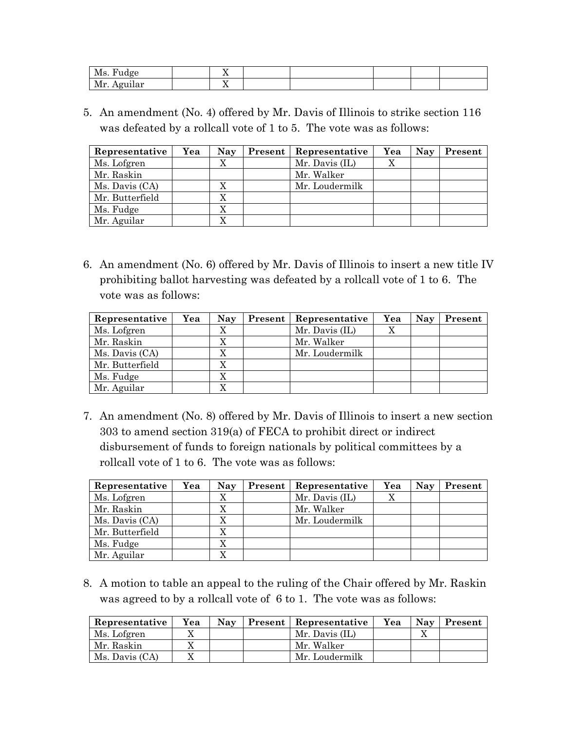| $\mathbf{M}_{\alpha}$<br>חזה ا<br>TATO. | . . |  |  |  |
|-----------------------------------------|-----|--|--|--|
| Mr. Aguilar                             | . . |  |  |  |

5. An amendment (No. 4) offered by Mr. Davis of Illinois to strike section 116 was defeated by a rollcall vote of 1 to 5. The vote was as follows:

| Representative  | Yea | <b>Nay</b> | Present | <b>Representative</b> | Yea | <b>Nay</b> | Present |
|-----------------|-----|------------|---------|-----------------------|-----|------------|---------|
| Ms. Lofgren     |     | X          |         | Mr. Davis (IL)        | X   |            |         |
| Mr. Raskin      |     |            |         | Mr. Walker            |     |            |         |
| Ms. Davis (CA)  |     | X          |         | Mr. Loudermilk        |     |            |         |
| Mr. Butterfield |     | X          |         |                       |     |            |         |
| Ms. Fudge       |     | X          |         |                       |     |            |         |
| Mr. Aguilar     |     |            |         |                       |     |            |         |

6. An amendment (No. 6) offered by Mr. Davis of Illinois to insert a new title IV prohibiting ballot harvesting was defeated by a rollcall vote of 1 to 6. The vote was as follows:

| Representative  | Yea | <b>Nay</b> | Present | Representative | Yea | <b>Nay</b> | Present |
|-----------------|-----|------------|---------|----------------|-----|------------|---------|
| Ms. Lofgren     |     |            |         | Mr. Davis (IL) | Χ   |            |         |
| Mr. Raskin      |     | $\Lambda$  |         | Mr. Walker     |     |            |         |
| Ms. Davis (CA)  |     |            |         | Mr. Loudermilk |     |            |         |
| Mr. Butterfield |     |            |         |                |     |            |         |
| Ms. Fudge       |     |            |         |                |     |            |         |
| Mr. Aguilar     |     |            |         |                |     |            |         |

7. An amendment (No. 8) offered by Mr. Davis of Illinois to insert a new section 303 to amend section 319(a) of FECA to prohibit direct or indirect disbursement of funds to foreign nationals by political committees by a rollcall vote of 1 to 6. The vote was as follows:

| Representative  | Yea | <b>Nay</b> | Present | Representative | Yea | Nay | Present |
|-----------------|-----|------------|---------|----------------|-----|-----|---------|
| Ms. Lofgren     |     |            |         | Mr. Davis (IL) |     |     |         |
| Mr. Raskin      |     |            |         | Mr. Walker     |     |     |         |
| Ms. Davis (CA)  |     | X          |         | Mr. Loudermilk |     |     |         |
| Mr. Butterfield |     |            |         |                |     |     |         |
| Ms. Fudge       |     |            |         |                |     |     |         |
| Mr. Aguilar     |     |            |         |                |     |     |         |

8. A motion to table an appeal to the ruling of the Chair offered by Mr. Raskin was agreed to by a rollcall vote of 6 to 1. The vote was as follows:

| Representative | Yea | Nav | Present | Representative | Yea | <b>Nay</b> | Present |
|----------------|-----|-----|---------|----------------|-----|------------|---------|
| Ms. Lofgren    |     |     |         | Mr. Davis (IL) |     |            |         |
| Mr. Raskin     |     |     |         | Mr. Walker     |     |            |         |
| Ms. Davis (CA) |     |     |         | Mr. Loudermilk |     |            |         |